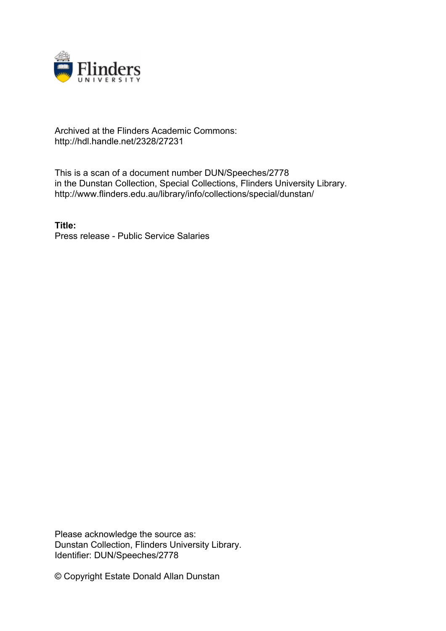

# Archived at the Flinders Academic Commons: http://hdl.handle.net/2328/27231

This is a scan of a document number DUN/Speeches/2778 in the Dunstan Collection, Special Collections, Flinders University Library. http://www.flinders.edu.au/library/info/collections/special/dunstan/

**Title:** Press release - Public Service Salaries

Please acknowledge the source as: Dunstan Collection, Flinders University Library. Identifier: DUN/Speeches/2778

© Copyright Estate Donald Allan Dunstan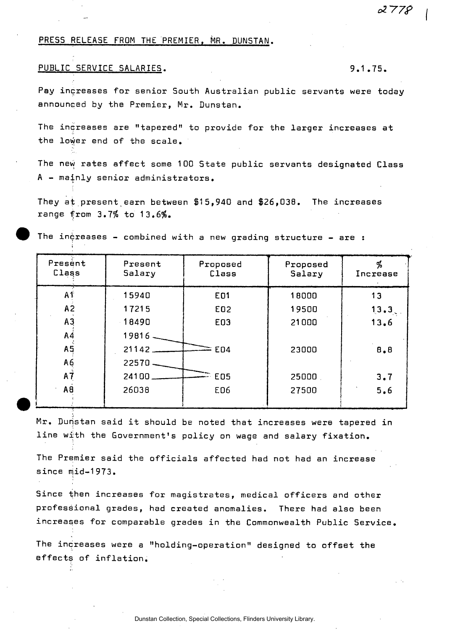## PRESS RELEASE FROM THE PREMIER, MR. DUN5TAN.

## PUBLIC SERVICE SALARIES. 9.1.75.

o2 7 7 P

Pay increases for senior South Australian public servants were today announced by the Premier, Mr. Dunstan.

The increases are "tapered" to provide for the larger increases at the lower end of the scale.

The new rates affect some 100 State public servants designated Class A - mainly senior administrators.

They at present,earn between \$15,940 and \$26,038. The increases range from 3.7% to 13.6%.

The increases - combined with a new grading structure - are **s** 

| Present<br>Class | Present<br>Salary | Proposed<br>Class | Proposed<br>Salary | %<br>Increase |
|------------------|-------------------|-------------------|--------------------|---------------|
| A <sub>1</sub>   | 15940             | E01               | 18000              | 13            |
| A <sub>2</sub>   | 17215             | E02               | 19500              | 13.3          |
| A3               | 18490             | E03               | 21000              | 13.6          |
| $A\overline{4}$  | 19816.            |                   |                    |               |
| A5               | $21142 -$         | <b>E04</b>        | 23000              | $B - B$       |
| АĢ               | $22570 -$         |                   |                    |               |
| A7               | $24100 -$         | <b>E05</b>        | 25000              | 3.7           |
| A <sub>0</sub>   | 26038             | E06               | 27500              | 5.6           |
|                  |                   |                   |                    |               |

Mr. Duristan said it should be noted that increases were tapered in line with the Government's policy on wage and salary fixation.

The Premier said the officials affected had not had an increase since mid-1973.

Since then increases for magistrates, medical officers and other professional grades, had created anomalies. There had also been increases for comparable grades in the Commonwealth Public Service.

The increases were a "holding-operation" designed to offset the effects of inflation.